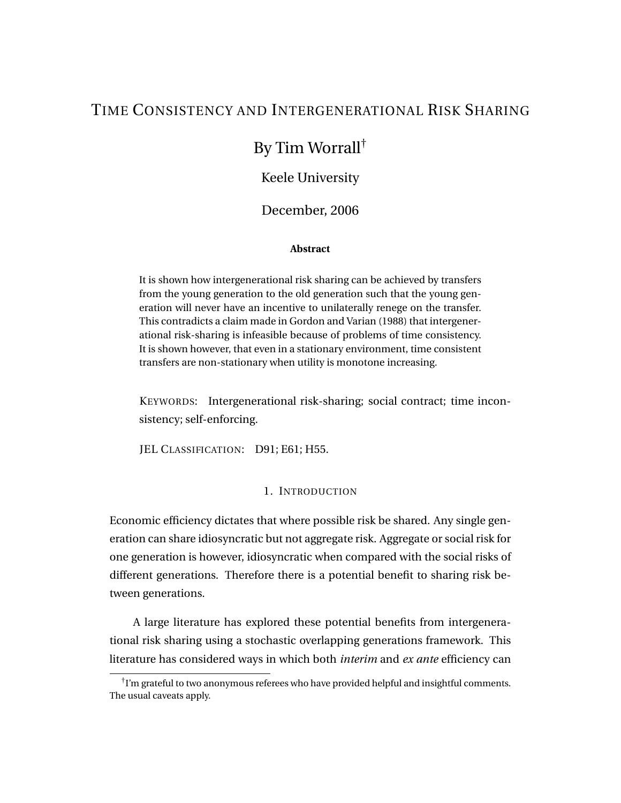# TIME CONSISTENCY AND INTERGENERATIONAL RISK SHARING

# By Tim Worrall†

# Keele University

# December, 2006

# **Abstract**

It is shown how intergenerational risk sharing can be achieved by transfers from the young generation to the old generation such that the young generation will never have an incentive to unilaterally renege on the transfer. This contradicts a claim made in Gordon and Varian (1988) that intergenerational risk-sharing is infeasible because of problems of time consistency. It is shown however, that even in a stationary environment, time consistent transfers are non-stationary when utility is monotone increasing.

KEYWORDS: Intergenerational risk-sharing; social contract; time inconsistency; self-enforcing.

JEL CLASSIFICATION: D91; E61; H55.

# 1. INTRODUCTION

Economic efficiency dictates that where possible risk be shared. Any single generation can share idiosyncratic but not aggregate risk. Aggregate or social risk for one generation is however, idiosyncratic when compared with the social risks of different generations. Therefore there is a potential benefit to sharing risk between generations.

A large literature has explored these potential benefits from intergenerational risk sharing using a stochastic overlapping generations framework. This literature has considered ways in which both *interim* and *ex ante* efficiency can

 $^\dagger$ I'm grateful to two anonymous referees who have provided helpful and insightful comments. The usual caveats apply.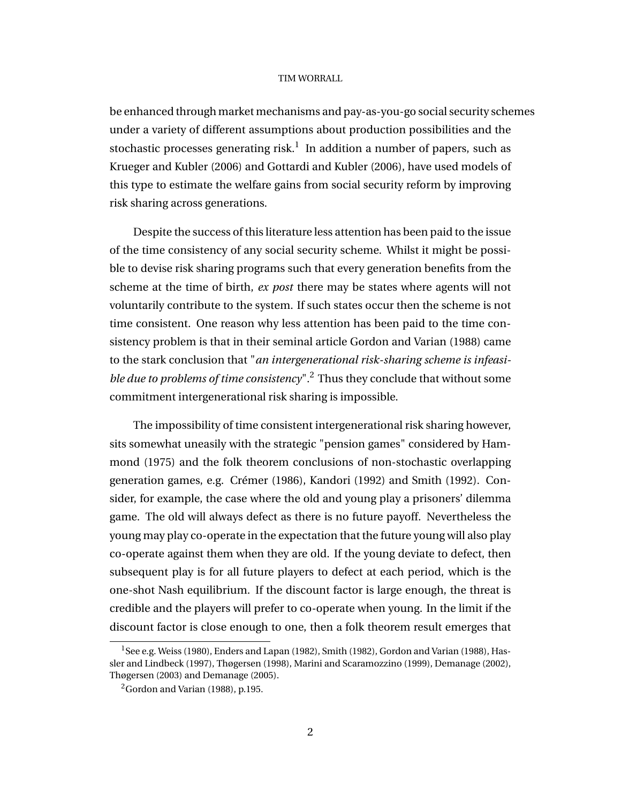be enhanced through market mechanisms and pay-as-you-go social security schemes under a variety of different assumptions about production possibilities and the stochastic processes generating risk. $^1\,$  In addition a number of papers, such as Krueger and Kubler (2006) and Gottardi and Kubler (2006), have used models of this type to estimate the welfare gains from social security reform by improving risk sharing across generations.

Despite the success of this literature less attention has been paid to the issue of the time consistency of any social security scheme. Whilst it might be possible to devise risk sharing programs such that every generation benefits from the scheme at the time of birth, *ex post* there may be states where agents will not voluntarily contribute to the system. If such states occur then the scheme is not time consistent. One reason why less attention has been paid to the time consistency problem is that in their seminal article Gordon and Varian (1988) came to the stark conclusion that "*an intergenerational risk-sharing scheme is infeasible due to problems of time consistency*".<sup>2</sup> Thus they conclude that without some commitment intergenerational risk sharing is impossible.

The impossibility of time consistent intergenerational risk sharing however, sits somewhat uneasily with the strategic "pension games" considered by Hammond (1975) and the folk theorem conclusions of non-stochastic overlapping generation games, e.g. Crémer (1986), Kandori (1992) and Smith (1992). Consider, for example, the case where the old and young play a prisoners' dilemma game. The old will always defect as there is no future payoff. Nevertheless the young may play co-operate in the expectation that the future young will also play co-operate against them when they are old. If the young deviate to defect, then subsequent play is for all future players to defect at each period, which is the one-shot Nash equilibrium. If the discount factor is large enough, the threat is credible and the players will prefer to co-operate when young. In the limit if the discount factor is close enough to one, then a folk theorem result emerges that

 $1$ See e.g. Weiss (1980), Enders and Lapan (1982), Smith (1982), Gordon and Varian (1988), Hassler and Lindbeck (1997), Thøgersen (1998), Marini and Scaramozzino (1999), Demanage (2002), Thøgersen (2003) and Demanage (2005).

<sup>2</sup>Gordon and Varian (1988), p.195.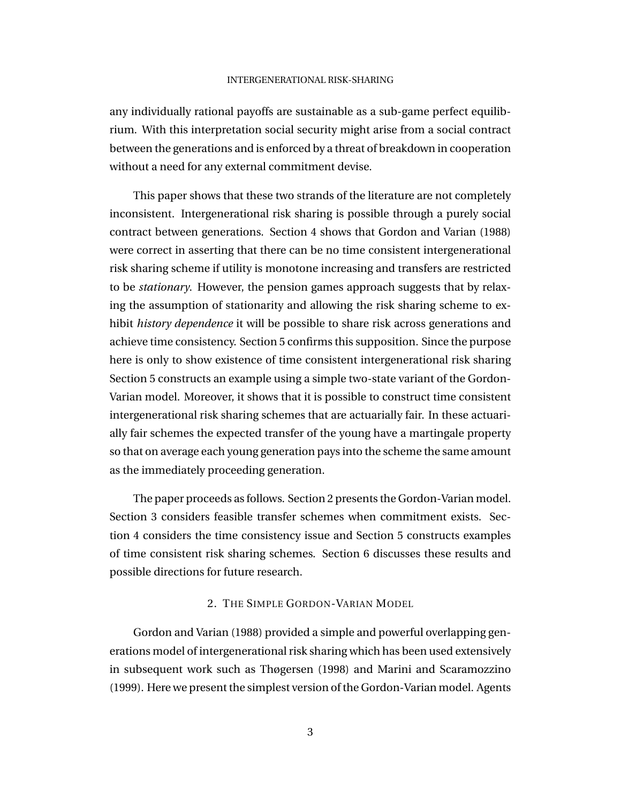any individually rational payoffs are sustainable as a sub-game perfect equilibrium. With this interpretation social security might arise from a social contract between the generations and is enforced by a threat of breakdown in cooperation without a need for any external commitment devise.

This paper shows that these two strands of the literature are not completely inconsistent. Intergenerational risk sharing is possible through a purely social contract between generations. Section 4 shows that Gordon and Varian (1988) were correct in asserting that there can be no time consistent intergenerational risk sharing scheme if utility is monotone increasing and transfers are restricted to be *stationary*. However, the pension games approach suggests that by relaxing the assumption of stationarity and allowing the risk sharing scheme to exhibit *history dependence* it will be possible to share risk across generations and achieve time consistency. Section 5 confirms this supposition. Since the purpose here is only to show existence of time consistent intergenerational risk sharing Section 5 constructs an example using a simple two-state variant of the Gordon-Varian model. Moreover, it shows that it is possible to construct time consistent intergenerational risk sharing schemes that are actuarially fair. In these actuarially fair schemes the expected transfer of the young have a martingale property so that on average each young generation pays into the scheme the same amount as the immediately proceeding generation.

The paper proceeds as follows. Section 2 presents the Gordon-Varian model. Section 3 considers feasible transfer schemes when commitment exists. Section 4 considers the time consistency issue and Section 5 constructs examples of time consistent risk sharing schemes. Section 6 discusses these results and possible directions for future research.

## 2. THE SIMPLE GORDON-VARIAN MODEL

Gordon and Varian (1988) provided a simple and powerful overlapping generations model of intergenerational risk sharing which has been used extensively in subsequent work such as Thøgersen (1998) and Marini and Scaramozzino (1999). Here we present the simplest version of the Gordon-Varian model. Agents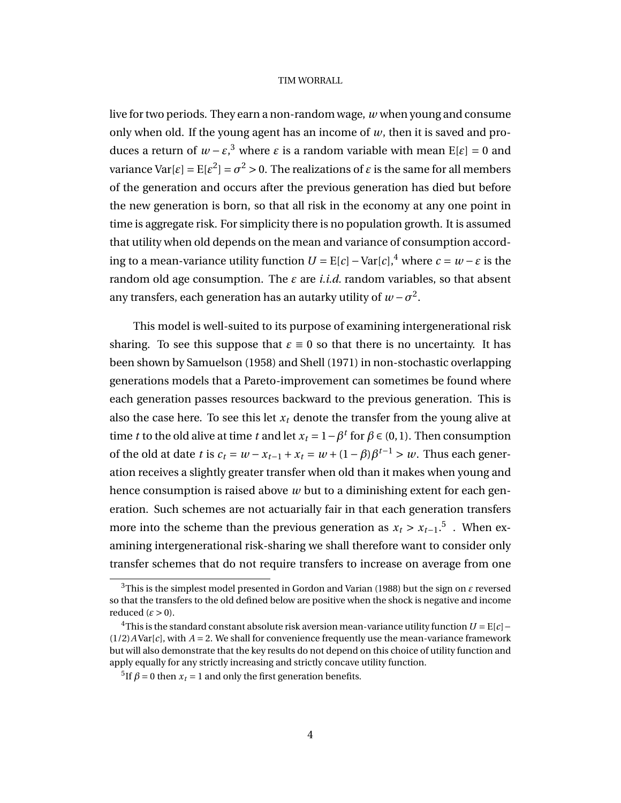live for two periods. They earn a non-random wage, *w* when young and consume only when old. If the young agent has an income of *w*, then it is saved and produces a return of *w* − *ε*, <sup>3</sup> where *ε* is a random variable with mean E[*ε*] = 0 and variance Var[ $\epsilon$ ] =  $E[\epsilon^2]$  =  $\sigma^2$  > 0. The realizations of  $\epsilon$  is the same for all members of the generation and occurs after the previous generation has died but before the new generation is born, so that all risk in the economy at any one point in time is aggregate risk. For simplicity there is no population growth. It is assumed that utility when old depends on the mean and variance of consumption according to a mean-variance utility function  $U = E[c] - Var[c]$ ,<sup>4</sup> where  $c = w - \varepsilon$  is the random old age consumption. The  $\varepsilon$  are *i.i.d.* random variables, so that absent any transfers, each generation has an autarky utility of  $w$  –  $\sigma^2.$ 

This model is well-suited to its purpose of examining intergenerational risk sharing. To see this suppose that  $\varepsilon = 0$  so that there is no uncertainty. It has been shown by Samuelson (1958) and Shell (1971) in non-stochastic overlapping generations models that a Pareto-improvement can sometimes be found where each generation passes resources backward to the previous generation. This is also the case here. To see this let  $x_t$  denote the transfer from the young alive at time *t* to the old alive at time *t* and let  $x_t = 1 - \beta^t$  for  $\beta \in (0, 1)$ . Then consumption of the old at date *t* is  $c_t = w - x_{t-1} + x_t = w + (1 - \beta)\beta^{t-1} > w$ . Thus each generation receives a slightly greater transfer when old than it makes when young and hence consumption is raised above *w* but to a diminishing extent for each generation. Such schemes are not actuarially fair in that each generation transfers more into the scheme than the previous generation as  $x_t > x_{t-1}$ .<sup>5</sup>. When examining intergenerational risk-sharing we shall therefore want to consider only transfer schemes that do not require transfers to increase on average from one

<sup>3</sup>This is the simplest model presented in Gordon and Varian (1988) but the sign on *ε* reversed so that the transfers to the old defined below are positive when the shock is negative and income reduced  $(\varepsilon > 0)$ .

<sup>&</sup>lt;sup>4</sup>This is the standard constant absolute risk aversion mean-variance utility function  $U = E[c]$  –  $(1/2)A\text{Var}[c]$ , with  $A = 2$ . We shall for convenience frequently use the mean-variance framework but will also demonstrate that the key results do not depend on this choice of utility function and apply equally for any strictly increasing and strictly concave utility function.

<sup>&</sup>lt;sup>5</sup>If  $\beta$  = 0 then  $x_t$  = 1 and only the first generation benefits.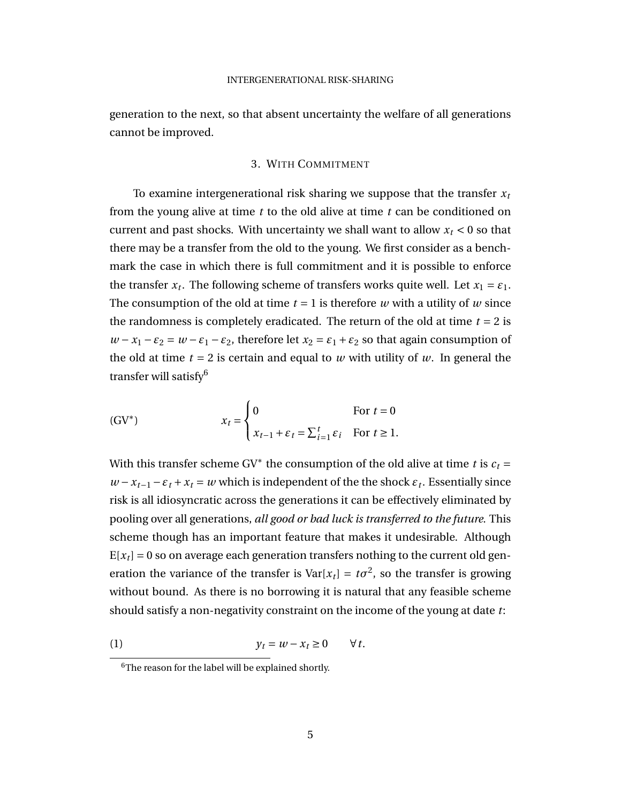generation to the next, so that absent uncertainty the welfare of all generations cannot be improved.

### 3. WITH COMMITMENT

To examine intergenerational risk sharing we suppose that the transfer *x<sup>t</sup>* from the young alive at time *t* to the old alive at time *t* can be conditioned on current and past shocks. With uncertainty we shall want to allow  $x_t < 0$  so that there may be a transfer from the old to the young. We first consider as a benchmark the case in which there is full commitment and it is possible to enforce the transfer  $x_t$ . The following scheme of transfers works quite well. Let  $x_1 = \varepsilon_1$ . The consumption of the old at time  $t = 1$  is therefore  $w$  with a utility of  $w$  since the randomness is completely eradicated. The return of the old at time  $t = 2$  is *w* − *x*<sub>1</sub> −  $\varepsilon$ <sub>2</sub> = *w* −  $\varepsilon$ <sub>1</sub> −  $\varepsilon$ <sub>2</sub>, therefore let *x*<sub>2</sub> =  $\varepsilon$ <sub>1</sub> +  $\varepsilon$ <sub>2</sub> so that again consumption of the old at time  $t = 2$  is certain and equal to *w* with utility of *w*. In general the transfer will satisfy<sup>6</sup>

(GV<sup>\*</sup>) 
$$
x_{t} = \begin{cases} 0 & \text{For } t = 0\\ x_{t-1} + \varepsilon_{t} = \sum_{i=1}^{t} \varepsilon_{i} & \text{For } t \ge 1. \end{cases}
$$

With this transfer scheme GV<sup>\*</sup> the consumption of the old alive at time *t* is  $c_t$  =  $w - x_{t-1} - \varepsilon_t + x_t = w$  which is independent of the the shock  $\varepsilon_t$ . Essentially since risk is all idiosyncratic across the generations it can be effectively eliminated by pooling over all generations, *all good or bad luck is transferred to the future*. This scheme though has an important feature that makes it undesirable. Although  $E[x_t] = 0$  so on average each generation transfers nothing to the current old generation the variance of the transfer is  $Var[x_t] = t\sigma^2$ , so the transfer is growing without bound. As there is no borrowing it is natural that any feasible scheme should satisfy a non-negativity constraint on the income of the young at date *t*:

$$
(1) \t\t y_t = w - x_t \ge 0 \t\t \forall t.
$$

<sup>6</sup>The reason for the label will be explained shortly.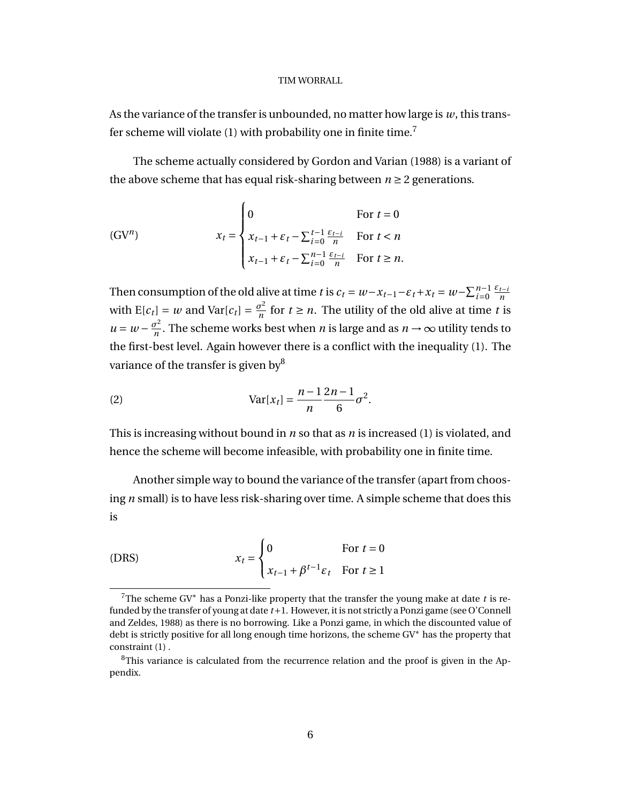As the variance of the transfer is unbounded, no matter how large is *w*, this transfer scheme will violate (1) with probability one in finite time.<sup>7</sup>

The scheme actually considered by Gordon and Varian (1988) is a variant of the above scheme that has equal risk-sharing between  $n \geq 2$  generations.

(GV<sup>n</sup>) 
$$
x_{t} = \begin{cases} 0 & \text{for } t = 0\\ x_{t-1} + \varepsilon_{t} - \sum_{i=0}^{t-1} \frac{\varepsilon_{t-i}}{n} & \text{for } t < n\\ x_{t-1} + \varepsilon_{t} - \sum_{i=0}^{n-1} \frac{\varepsilon_{t-i}}{n} & \text{for } t \ge n. \end{cases}
$$

Then consumption of the old alive at time *t* is  $c_t = w - x_{t-1} - \varepsilon_t + x_t = w - \sum_{i=0}^{n-1} \frac{\varepsilon_{t-i}}{n}$ *n* with  $E[c_t] = w$  and  $Var[c_t] = \frac{\sigma^2}{n}$  $\frac{\sigma^2}{n}$  for  $t \geq n$ . The utility of the old alive at time *t* is  $u = w - \frac{\sigma^2}{n}$  $\frac{\partial^2}{\partial n}$ . The scheme works best when *n* is large and as  $n \to \infty$  utility tends to the first-best level. Again however there is a conflict with the inequality (1). The variance of the transfer is given by<sup>8</sup>

(2) 
$$
Var[x_t] = \frac{n-1}{n} \frac{2n-1}{6} \sigma^2.
$$

This is increasing without bound in *n* so that as *n* is increased (1) is violated, and hence the scheme will become infeasible, with probability one in finite time.

Another simple way to bound the variance of the transfer (apart from choosing *n* small) is to have less risk-sharing over time. A simple scheme that does this is

(DRS) 
$$
x_t = \begin{cases} 0 & \text{For } t = 0\\ x_{t-1} + \beta^{t-1} \varepsilon_t & \text{For } t \ge 1 \end{cases}
$$

<sup>7</sup>The scheme GV<sup>∗</sup> has a Ponzi-like property that the transfer the young make at date *t* is refunded by the transfer of young at date *t*+1. However, it is not strictly a Ponzi game (see O'Connell and Zeldes, 1988) as there is no borrowing. Like a Ponzi game, in which the discounted value of debt is strictly positive for all long enough time horizons, the scheme GV<sup>∗</sup> has the property that constraint (1) .

<sup>&</sup>lt;sup>8</sup>This variance is calculated from the recurrence relation and the proof is given in the Appendix.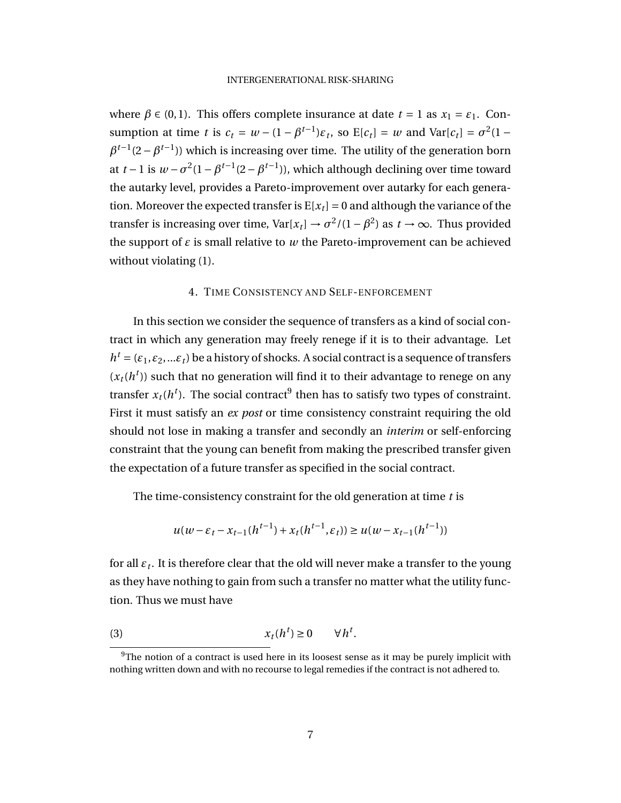where  $\beta \in (0, 1)$ . This offers complete insurance at date  $t = 1$  as  $x_1 = \varepsilon_1$ . Consumption at time *t* is  $c_t = w - (1 - \beta^{t-1})\varepsilon_t$ , so  $E[c_t] = w$  and  $Var[c_t] = \sigma^2(1 \beta^{t-1}(2-\beta^{t-1})$ ) which is increasing over time. The utility of the generation born at *t* − 1 is  $w - \sigma^2 (1 - \beta^{t-1}(2 - \beta^{t-1}))$ , which although declining over time toward the autarky level, provides a Pareto-improvement over autarky for each generation. Moreover the expected transfer is  $E[x_t] = 0$  and although the variance of the transfer is increasing over time,  $Var[x_t] \rightarrow \sigma^2/(1-\beta^2)$  as  $t \rightarrow \infty$ . Thus provided the support of  $\varepsilon$  is small relative to  $w$  the Pareto-improvement can be achieved without violating  $(1)$ .

#### 4. TIME CONSISTENCY AND SELF-ENFORCEMENT

In this section we consider the sequence of transfers as a kind of social contract in which any generation may freely renege if it is to their advantage. Let  $h^t = (\varepsilon_1, \varepsilon_2, ... \varepsilon_t)$  be a history of shocks. A social contract is a sequence of transfers  $(x_t(h^t))$  such that no generation will find it to their advantage to renege on any transfer  $x_t(h^t)$ . The social contract<sup>9</sup> then has to satisfy two types of constraint. First it must satisfy an *ex post* or time consistency constraint requiring the old should not lose in making a transfer and secondly an *interim* or self-enforcing constraint that the young can benefit from making the prescribed transfer given the expectation of a future transfer as specified in the social contract.

The time-consistency constraint for the old generation at time *t* is

$$
u(w - \varepsilon_t - x_{t-1}(h^{t-1}) + x_t(h^{t-1}, \varepsilon_t)) \ge u(w - x_{t-1}(h^{t-1}))
$$

for all *ε<sup>t</sup>* . It is therefore clear that the old will never make a transfer to the young as they have nothing to gain from such a transfer no matter what the utility function. Thus we must have

$$
(3) \t\t x_t(h^t) \ge 0 \t \forall h^t.
$$

<sup>&</sup>lt;sup>9</sup>The notion of a contract is used here in its loosest sense as it may be purely implicit with nothing written down and with no recourse to legal remedies if the contract is not adhered to.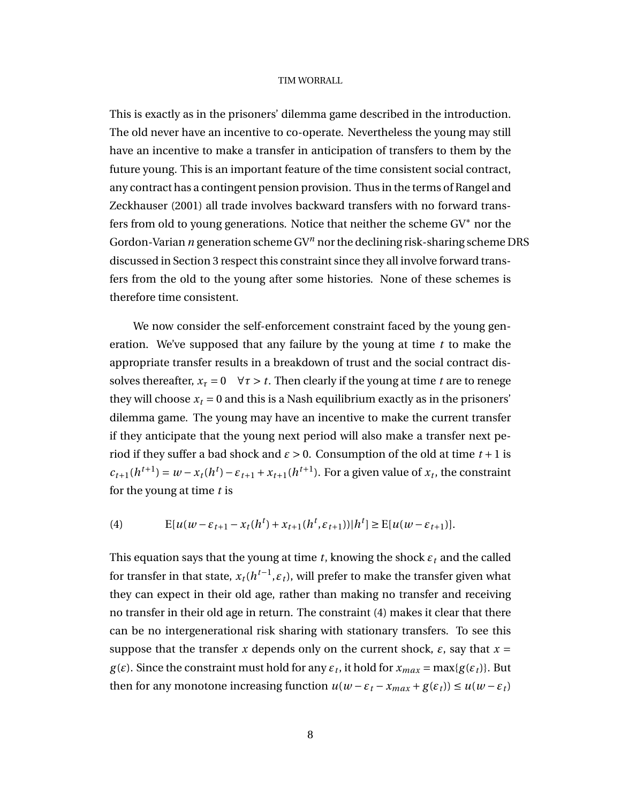This is exactly as in the prisoners' dilemma game described in the introduction. The old never have an incentive to co-operate. Nevertheless the young may still have an incentive to make a transfer in anticipation of transfers to them by the future young. This is an important feature of the time consistent social contract, any contract has a contingent pension provision. Thus in the terms of Rangel and Zeckhauser (2001) all trade involves backward transfers with no forward transfers from old to young generations. Notice that neither the scheme GV<sup>∗</sup> nor the Gordon-Varian *n* generation scheme GV*<sup>n</sup>* nor the declining risk-sharing scheme DRS discussed in Section 3 respect this constraint since they all involve forward transfers from the old to the young after some histories. None of these schemes is therefore time consistent.

We now consider the self-enforcement constraint faced by the young generation. We've supposed that any failure by the young at time *t* to make the appropriate transfer results in a breakdown of trust and the social contract dissolves thereafter,  $x_t = 0 \quad \forall \tau > t$ . Then clearly if the young at time *t* are to renege they will choose  $x_t = 0$  and this is a Nash equilibrium exactly as in the prisoners' dilemma game. The young may have an incentive to make the current transfer if they anticipate that the young next period will also make a transfer next period if they suffer a bad shock and  $\varepsilon > 0$ . Consumption of the old at time  $t + 1$  is  $c_{t+1}(h^{t+1}) = w - x_t(h^t) - \varepsilon_{t+1} + x_{t+1}(h^{t+1})$ . For a given value of  $x_t$ , the constraint for the young at time *t* is

(4) 
$$
E[u(w - \varepsilon_{t+1} - x_t(h^t) + x_{t+1}(h^t, \varepsilon_{t+1}))|h^t] \ge E[u(w - \varepsilon_{t+1})].
$$

This equation says that the young at time *t*, knowing the shock  $\varepsilon_t$  and the called for transfer in that state,  $x_t(h^{t-1}, \varepsilon_t)$ , will prefer to make the transfer given what they can expect in their old age, rather than making no transfer and receiving no transfer in their old age in return. The constraint (4) makes it clear that there can be no intergenerational risk sharing with stationary transfers. To see this suppose that the transfer *x* depends only on the current shock,  $\varepsilon$ , say that  $x =$ *g*(*ε*). Since the constraint must hold for any  $\varepsilon_t$ , it hold for  $x_{max} = \max\{g(\varepsilon_t)\}\)$ . But then for any monotone increasing function  $u(w - \varepsilon_t - x_{max} + g(\varepsilon_t)) \le u(w - \varepsilon_t)$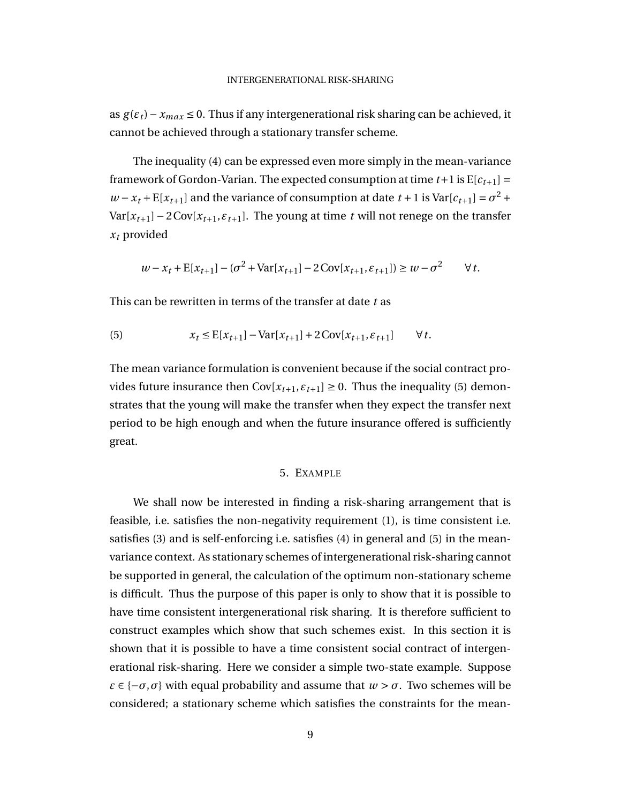as  $g(\varepsilon_t)$  − *x*<sub>*max*</sub> ≤ 0. Thus if any intergenerational risk sharing can be achieved, it cannot be achieved through a stationary transfer scheme.

The inequality (4) can be expressed even more simply in the mean-variance framework of Gordon-Varian. The expected consumption at time  $t+1$  is  $E[c_{t+1}] =$  $w - x_t + E[x_{t+1}]$  and the variance of consumption at date  $t + 1$  is  $Var[c_{t+1}] = \sigma^2 +$ Var[ $x_{t+1}$ ] – 2Cov[ $x_{t+1}$ , $\varepsilon_{t+1}$ ]. The young at time *t* will not renege on the transfer *x<sup>t</sup>* provided

$$
w - x_t + \mathbb{E}[x_{t+1}] - (\sigma^2 + \text{Var}[x_{t+1}] - 2\text{Cov}[x_{t+1}, \varepsilon_{t+1}]) \ge w - \sigma^2 \qquad \forall \, t.
$$

This can be rewritten in terms of the transfer at date *t* as

(5) 
$$
x_t \leq E[x_{t+1}] - Var[x_{t+1}] + 2Cov[x_{t+1}, \varepsilon_{t+1}] \qquad \forall t.
$$

The mean variance formulation is convenient because if the social contract provides future insurance then  $Cov[x_{t+1}, \varepsilon_{t+1}] \ge 0$ . Thus the inequality (5) demonstrates that the young will make the transfer when they expect the transfer next period to be high enough and when the future insurance offered is sufficiently great.

### 5. EXAMPLE

We shall now be interested in finding a risk-sharing arrangement that is feasible, i.e. satisfies the non-negativity requirement (1), is time consistent i.e. satisfies (3) and is self-enforcing i.e. satisfies (4) in general and (5) in the meanvariance context. As stationary schemes of intergenerational risk-sharing cannot be supported in general, the calculation of the optimum non-stationary scheme is difficult. Thus the purpose of this paper is only to show that it is possible to have time consistent intergenerational risk sharing. It is therefore sufficient to construct examples which show that such schemes exist. In this section it is shown that it is possible to have a time consistent social contract of intergenerational risk-sharing. Here we consider a simple two-state example. Suppose *ε*  $\in$   $\{-\sigma, \sigma\}$  with equal probability and assume that  $w > \sigma$ . Two schemes will be considered; a stationary scheme which satisfies the constraints for the mean-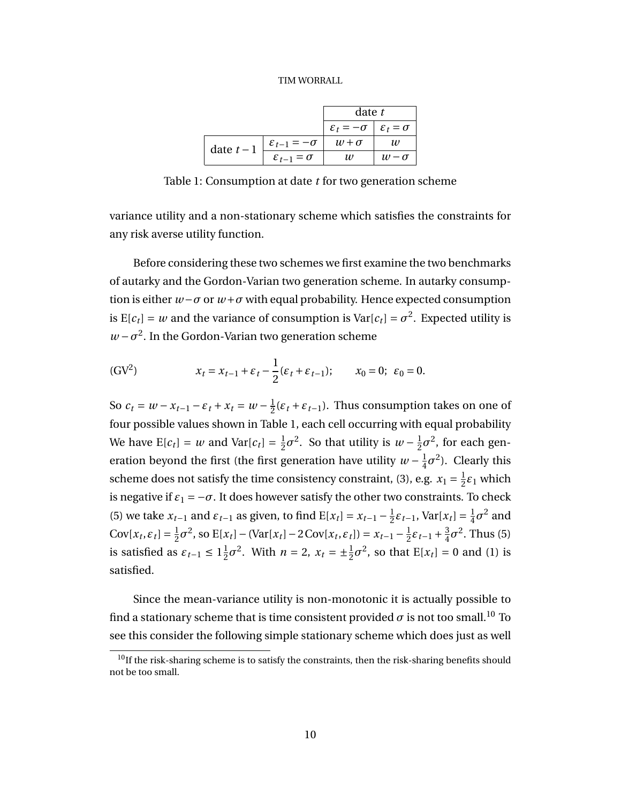|            |                               | date t                                                |              |
|------------|-------------------------------|-------------------------------------------------------|--------------|
|            |                               | $\varepsilon_t = -\sigma \mid \varepsilon_t = \sigma$ |              |
| date $t-1$ | $\varepsilon_{t-1} = -\sigma$ | $w + \sigma$                                          | w            |
|            | $\varepsilon_{t-1} = \sigma$  | 11)                                                   | $w - \sigma$ |

Table 1: Consumption at date *t* for two generation scheme

variance utility and a non-stationary scheme which satisfies the constraints for any risk averse utility function.

Before considering these two schemes we first examine the two benchmarks of autarky and the Gordon-Varian two generation scheme. In autarky consumption is either *w*−*σ* or *w*+*σ* with equal probability. Hence expected consumption is  $E[c_t] = w$  and the variance of consumption is  $Var[c_t] = \sigma^2$ . Expected utility is  $w - \sigma^2$ . In the Gordon-Varian two generation scheme

(GV<sup>2</sup>) 
$$
x_t = x_{t-1} + \varepsilon_t - \frac{1}{2} (\varepsilon_t + \varepsilon_{t-1}); \qquad x_0 = 0; \ \varepsilon_0 = 0.
$$

So  $c_t = w - x_{t-1} - \varepsilon_t + x_t = w - \frac{1}{2}$  $\frac{1}{2}(\varepsilon_t + \varepsilon_{t-1})$ . Thus consumption takes on one of four possible values shown in Table 1, each cell occurring with equal probability We have  $E[c_t] = w$  and  $Var[c_t] = \frac{1}{2}$  $\frac{1}{2}\sigma^2$ . So that utility is *w* −  $\frac{1}{2}$  $\frac{1}{2}\sigma^2$ , for each generation beyond the first (the first generation have utility  $w - \frac{1}{4}$  $\frac{1}{4}\sigma^2$ ). Clearly this scheme does not satisfy the time consistency constraint, (3), e.g.  $x_1 = \frac{1}{2}$  $\frac{1}{2}\varepsilon_1$  which is negative if  $\varepsilon_1 = -\sigma$ . It does however satisfy the other two constraints. To check (5) we take  $x_{t-1}$  and  $\varepsilon_{t-1}$  as given, to find  $E[x_t] = x_{t-1} - \frac{1}{2}$  $\frac{1}{2}\varepsilon_{t-1}$ , Var[ $x_t$ ] =  $\frac{1}{4}$  $\frac{1}{4}\sigma^2$  and  $Cov[x_t, \varepsilon_t] = \frac{1}{2}$  $\frac{1}{2}\sigma^2$ , so  $E[x_t] - (Var[x_t] - 2Cov[x_t, \varepsilon_t]) = x_{t-1} - \frac{1}{2}$  $\frac{1}{2}\varepsilon_{t-1} + \frac{3}{4}$  $\frac{3}{4}\sigma^2$ . Thus (5) is satisfied as  $\varepsilon_{t-1} \leq 1\frac{1}{2}$  $\frac{1}{2}\sigma^2$ . With  $n = 2$ ,  $x_t = \pm \frac{1}{2}\sigma^2$ , so that  $E[x_t] = 0$  and (1) is satisfied.

Since the mean-variance utility is non-monotonic it is actually possible to find a stationary scheme that is time consistent provided  $\sigma$  is not too small.<sup>10</sup> To see this consider the following simple stationary scheme which does just as well

 $^{10}$ If the risk-sharing scheme is to satisfy the constraints, then the risk-sharing benefits should not be too small.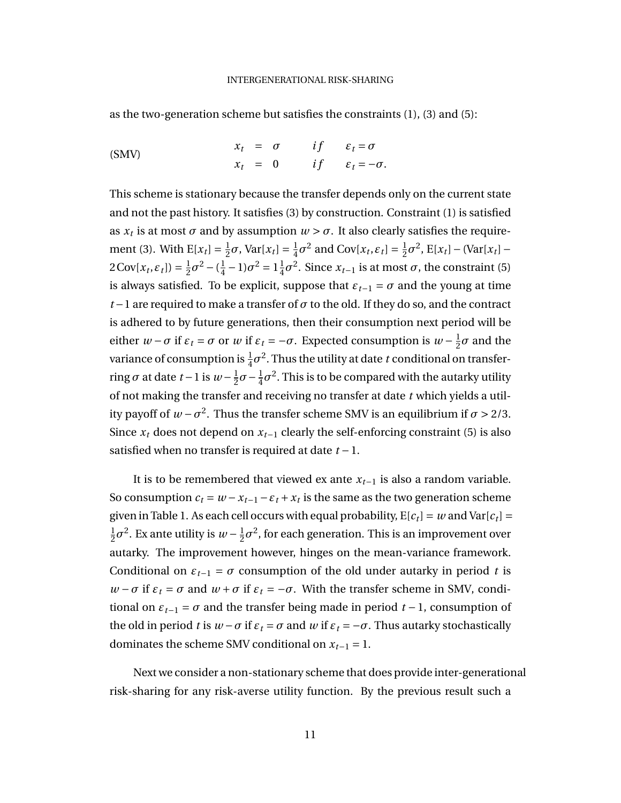as the two-generation scheme but satisfies the constraints (1), (3) and (5):

$$
x_t = \sigma \qquad if \qquad \varepsilon_t = \sigma
$$
  
\n
$$
x_t = 0 \qquad if \qquad \varepsilon_t = -\sigma.
$$

This scheme is stationary because the transfer depends only on the current state and not the past history. It satisfies (3) by construction. Constraint (1) is satisfied as  $x_t$  is at most  $\sigma$  and by assumption  $w > \sigma$ . It also clearly satisfies the requirement (3). With  $E[x_t] = \frac{1}{2}$  $\frac{1}{2}\sigma$ , Var[ $x_t$ ] =  $\frac{1}{4}$  $\frac{1}{4}\sigma^2$  and  $Cov[x_t, \varepsilon_t] = \frac{1}{2}$  $\frac{1}{2}\sigma^2$ , E[ $x_t$ ] – (Var[ $x_t$ ] –  $2 \text{Cov}[x_t, \varepsilon_t]$ ) =  $\frac{1}{2}$  $\frac{1}{2}\sigma^2 - (\frac{1}{4})$  $\frac{1}{4} - 1\sigma^2 = 1\frac{1}{4}$  $\frac{1}{4}σ^2$ . Since  $x_{t-1}$  is at most  $σ$ , the constraint (5) is always satisfied. To be explicit, suppose that  $\varepsilon_{t-1} = \sigma$  and the young at time *t* − 1 are required to make a transfer of  $\sigma$  to the old. If they do so, and the contract is adhered to by future generations, then their consumption next period will be either  $w - \sigma$  if  $\varepsilon_t = \sigma$  or  $w$  if  $\varepsilon_t = -\sigma$ . Expected consumption is  $w - \frac{1}{2}$  $\frac{1}{2}\sigma$  and the variance of consumption is  $\frac{1}{4}\sigma^2$ . Thus the utility at date  $t$  conditional on transferring  $\sigma$  at date  $t-1$  is  $w-\frac{1}{2}$  $\frac{1}{2}\sigma - \frac{1}{4}$  $\frac{1}{4}\sigma^2$ . This is to be compared with the autarky utility of not making the transfer and receiving no transfer at date *t* which yields a utility payoff of  $w - \sigma^2$ . Thus the transfer scheme SMV is an equilibrium if  $\sigma > 2/3$ . Since  $x_t$  does not depend on  $x_{t-1}$  clearly the self-enforcing constraint (5) is also satisfied when no transfer is required at date *t* −1.

It is to be remembered that viewed ex ante *xt*−<sup>1</sup> is also a random variable. So consumption  $c_t = w - x_{t-1} - \varepsilon_t + x_t$  is the same as the two generation scheme given in Table 1. As each cell occurs with equal probability,  $E[c_t] = w$  and  $Var[c_t] = w$ 1  $\frac{1}{2}\sigma^2$ . Ex ante utility is  $w - \frac{1}{2}$  $\frac{1}{2}\sigma^2$ , for each generation. This is an improvement over autarky. The improvement however, hinges on the mean-variance framework. Conditional on  $\varepsilon_{t-1} = \sigma$  consumption of the old under autarky in period *t* is *w* − *σ* if  $ε$ <sup>*t*</sup> = *σ* and *w* + *σ* if  $ε$ <sup>*t*</sup> = −*σ*. With the transfer scheme in SMV, conditional on  $\varepsilon_{t-1} = \sigma$  and the transfer being made in period  $t-1$ , consumption of the old in period *t* is  $w - \sigma$  if  $\varepsilon_t = \sigma$  and  $w$  if  $\varepsilon_t = -\sigma$ . Thus autarky stochastically dominates the scheme SMV conditional on  $x_{t-1} = 1$ .

Next we consider a non-stationary scheme that does provide inter-generational risk-sharing for any risk-averse utility function. By the previous result such a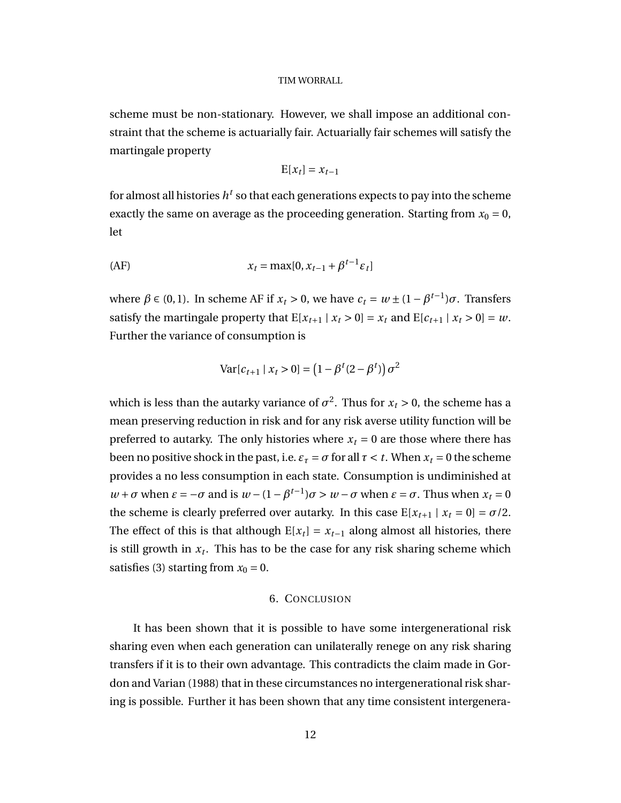scheme must be non-stationary. However, we shall impose an additional constraint that the scheme is actuarially fair. Actuarially fair schemes will satisfy the martingale property

$$
E[x_t] = x_{t-1}
$$

for almost all histories  $h^t$  so that each generations expects to pay into the scheme exactly the same on average as the proceeding generation. Starting from  $x_0 = 0$ , let

$$
x_t = \max[0, x_{t-1} + \beta^{t-1} \varepsilon_t]
$$

where  $β ∈ (0, 1)$ . In scheme AF if  $x_t > 0$ , we have  $c_t = w ± (1 - β^{t-1})σ$ . Transfers satisfy the martingale property that  $E[x_{t+1} | x_t > 0] = x_t$  and  $E[c_{t+1} | x_t > 0] = w$ . Further the variance of consumption is

$$
Var[c_{t+1} | x_t > 0] = (1 - \beta^t (2 - \beta^t)) \sigma^2
$$

which is less than the autarky variance of  $\sigma^2$ . Thus for  $x_t > 0$ , the scheme has a mean preserving reduction in risk and for any risk averse utility function will be preferred to autarky. The only histories where  $x_t = 0$  are those where there has been no positive shock in the past, i.e.  $\varepsilon_{\tau} = \sigma$  for all  $\tau < t$ . When  $x_t = 0$  the scheme provides a no less consumption in each state. Consumption is undiminished at *w* + *σ* when *ε* = −*σ* and is *w* − (1 − *β*<sup>*t*−1</sup>)*σ* > *w* − *σ* when *ε* = *σ*. Thus when *x*<sub>*t*</sub> = 0 the scheme is clearly preferred over autarky. In this case  $E[x_{t+1} | x_t = 0] = \sigma/2$ . The effect of this is that although  $E[x_t] = x_{t-1}$  along almost all histories, there is still growth in *x<sup>t</sup>* . This has to be the case for any risk sharing scheme which satisfies (3) starting from  $x_0 = 0$ .

#### 6. CONCLUSION

It has been shown that it is possible to have some intergenerational risk sharing even when each generation can unilaterally renege on any risk sharing transfers if it is to their own advantage. This contradicts the claim made in Gordon and Varian (1988) that in these circumstances no intergenerational risk sharing is possible. Further it has been shown that any time consistent intergenera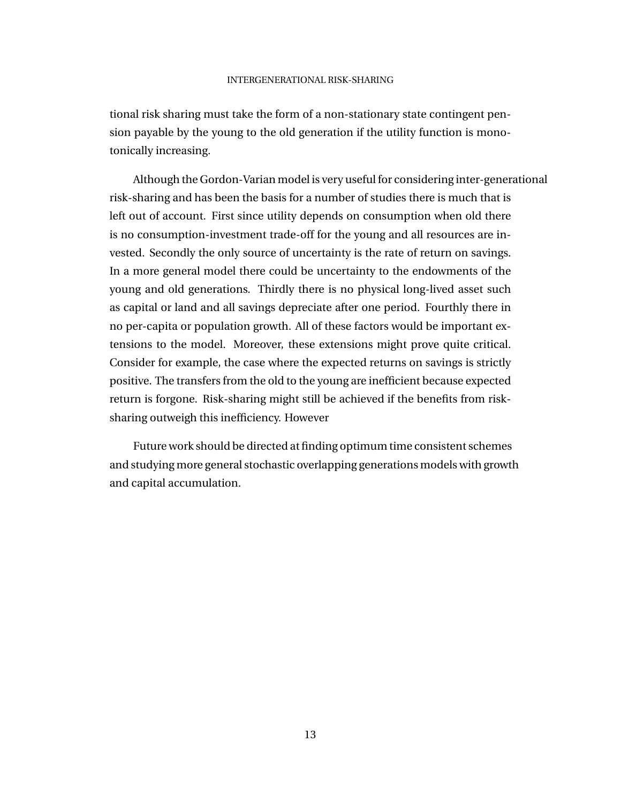tional risk sharing must take the form of a non-stationary state contingent pension payable by the young to the old generation if the utility function is monotonically increasing.

Although the Gordon-Varian model is very useful for considering inter-generational risk-sharing and has been the basis for a number of studies there is much that is left out of account. First since utility depends on consumption when old there is no consumption-investment trade-off for the young and all resources are invested. Secondly the only source of uncertainty is the rate of return on savings. In a more general model there could be uncertainty to the endowments of the young and old generations. Thirdly there is no physical long-lived asset such as capital or land and all savings depreciate after one period. Fourthly there in no per-capita or population growth. All of these factors would be important extensions to the model. Moreover, these extensions might prove quite critical. Consider for example, the case where the expected returns on savings is strictly positive. The transfers from the old to the young are inefficient because expected return is forgone. Risk-sharing might still be achieved if the benefits from risksharing outweigh this inefficiency. However

Future work should be directed at finding optimum time consistent schemes and studying more general stochastic overlapping generations models with growth and capital accumulation.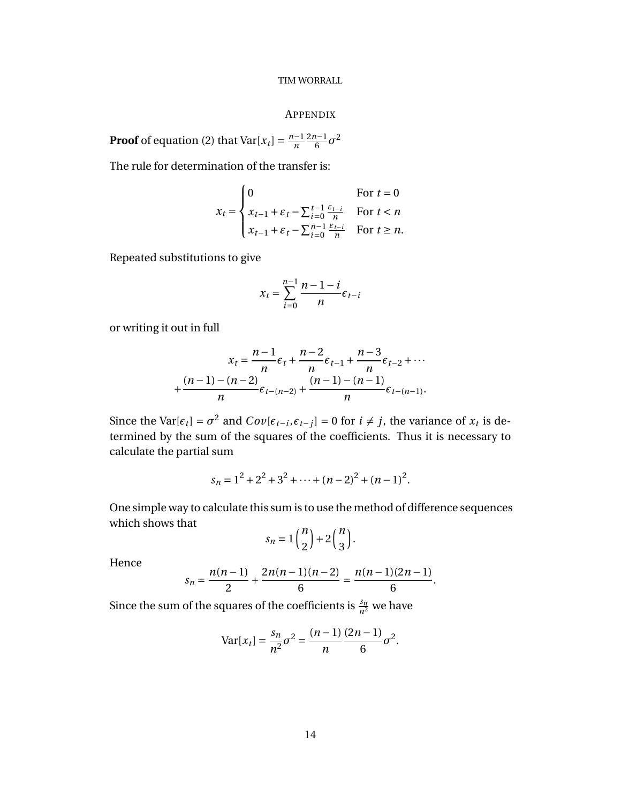#### APPENDIX

**Proof** of equation (2) that  $Var[x_t] = \frac{n-1}{n}$ *n* 2*n*−1  $\frac{l-1}{6}\sigma^2$ 

The rule for determination of the transfer is:

$$
x_t = \begin{cases} 0 & \text{for } t = 0\\ x_{t-1} + \varepsilon_t - \sum_{i=0}^{t-1} \frac{\varepsilon_{t-i}}{n} & \text{for } t < n\\ x_{t-1} + \varepsilon_t - \sum_{i=0}^{n-1} \frac{\varepsilon_{t-i}}{n} & \text{for } t \ge n. \end{cases}
$$

Repeated substitutions to give

$$
x_t = \sum_{i=0}^{n-1} \frac{n-1-i}{n} \epsilon_{t-i}
$$

or writing it out in full

$$
x_{t} = \frac{n-1}{n} \epsilon_{t} + \frac{n-2}{n} \epsilon_{t-1} + \frac{n-3}{n} \epsilon_{t-2} + \cdots
$$

$$
+ \frac{(n-1)-(n-2)}{n} \epsilon_{t-(n-2)} + \frac{(n-1)-(n-1)}{n} \epsilon_{t-(n-1)}.
$$

Since the Var $[\epsilon_t] = \sigma^2$  and  $Cov[\epsilon_{t-i}, \epsilon_{t-j}] = 0$  for  $i \neq j$ , the variance of  $x_t$  is determined by the sum of the squares of the coefficients. Thus it is necessary to calculate the partial sum

$$
s_n = 1^2 + 2^2 + 3^2 + \dots + (n-2)^2 + (n-1)^2
$$
.

One simple way to calculate this sum is to use the method of difference sequences which shows that

$$
s_n = 1 \binom{n}{2} + 2 \binom{n}{3}.
$$

Hence

$$
s_n = \frac{n(n-1)}{2} + \frac{2n(n-1)(n-2)}{6} = \frac{n(n-1)(2n-1)}{6}.
$$

Since the sum of the squares of the coefficients is  $\frac{s_n}{n^2}$  we have

$$
Var[x_t] = \frac{s_n}{n^2} \sigma^2 = \frac{(n-1)}{n} \frac{(2n-1)}{6} \sigma^2.
$$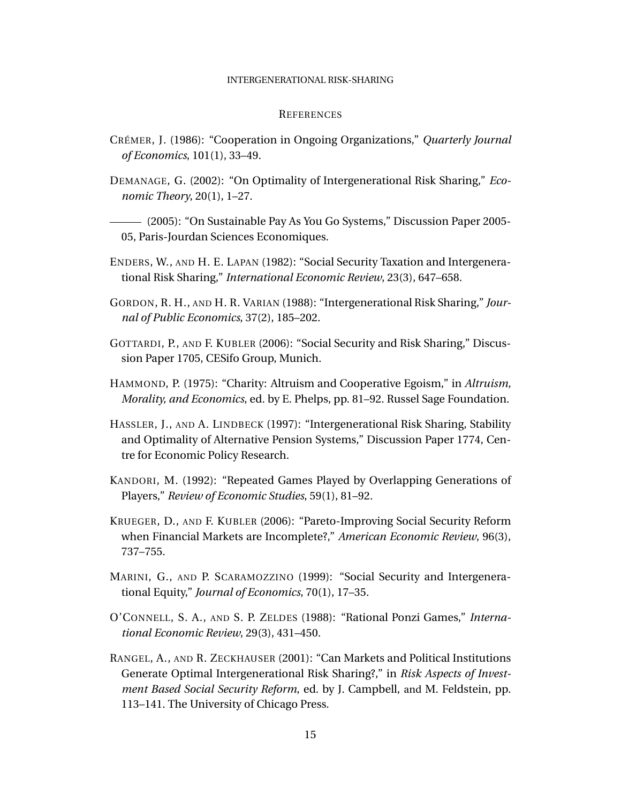#### INTERGENERATIONAL RISK-SHARING

#### **REFERENCES**

- CRÉMER, J. (1986): "Cooperation in Ongoing Organizations," *Quarterly Journal of Economics*, 101(1), 33–49.
- DEMANAGE, G. (2002): "On Optimality of Intergenerational Risk Sharing," *Economic Theory*, 20(1), 1–27.

(2005): "On Sustainable Pay As You Go Systems," Discussion Paper 2005- 05, Paris-Jourdan Sciences Economiques.

- ENDERS, W., AND H. E. LAPAN (1982): "Social Security Taxation and Intergenerational Risk Sharing," *International Economic Review*, 23(3), 647–658.
- GORDON, R. H., AND H. R. VARIAN (1988): "Intergenerational Risk Sharing," *Journal of Public Economics*, 37(2), 185–202.
- GOTTARDI, P., AND F. KUBLER (2006): "Social Security and Risk Sharing," Discussion Paper 1705, CESifo Group, Munich.
- HAMMOND, P. (1975): "Charity: Altruism and Cooperative Egoism," in *Altruism, Morality, and Economics*, ed. by E. Phelps, pp. 81–92. Russel Sage Foundation.
- HASSLER, J., AND A. LINDBECK (1997): "Intergenerational Risk Sharing, Stability and Optimality of Alternative Pension Systems," Discussion Paper 1774, Centre for Economic Policy Research.
- KANDORI, M. (1992): "Repeated Games Played by Overlapping Generations of Players," *Review of Economic Studies*, 59(1), 81–92.
- KRUEGER, D., AND F. KUBLER (2006): "Pareto-Improving Social Security Reform when Financial Markets are Incomplete?," *American Economic Review*, 96(3), 737–755.
- MARINI, G., AND P. SCARAMOZZINO (1999): "Social Security and Intergenerational Equity," *Journal of Economics*, 70(1), 17–35.
- O'CONNELL, S. A., AND S. P. ZELDES (1988): "Rational Ponzi Games," *International Economic Review*, 29(3), 431–450.
- RANGEL, A., AND R. ZECKHAUSER (2001): "Can Markets and Political Institutions Generate Optimal Intergenerational Risk Sharing?," in *Risk Aspects of Investment Based Social Security Reform*, ed. by J. Campbell, and M. Feldstein, pp. 113–141. The University of Chicago Press.